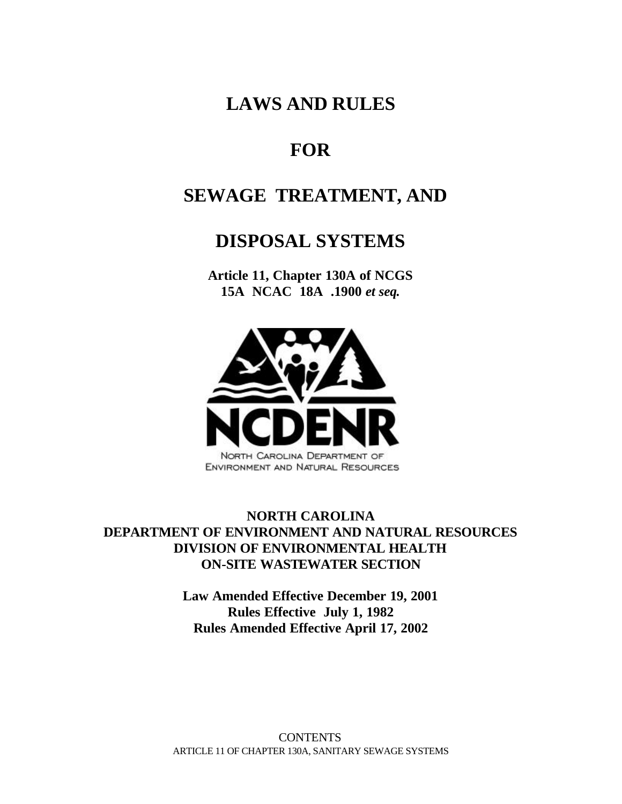# **LAWS AND RULES**

# **FOR**

# **SEWAGE TREATMENT, AND**

# **DISPOSAL SYSTEMS**

**Article 11, Chapter 130A of NCGS 15A NCAC 18A .1900** *et seq.*



# **NORTH CAROLINA DEPARTMENT OF ENVIRONMENT AND NATURAL RESOURCES DIVISION OF ENVIRONMENTAL HEALTH ON-SITE WASTEWATER SECTION**

**Law Amended Effective December 19, 2001 Rules Effective July 1, 1982 Rules Amended Effective April 17, 2002**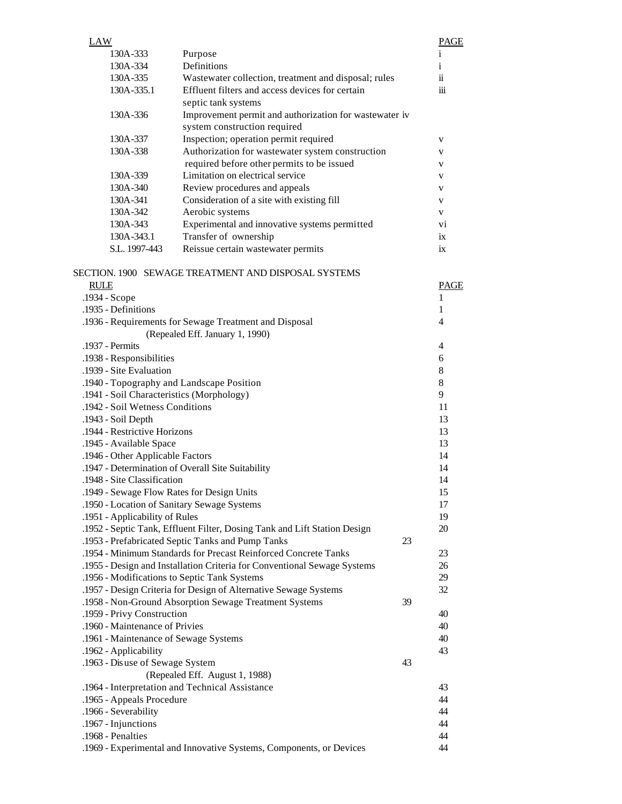|                                                                                       | <b>LAW</b>                      |                                                                                                | <b>PAGE</b>    |
|---------------------------------------------------------------------------------------|---------------------------------|------------------------------------------------------------------------------------------------|----------------|
|                                                                                       | 130A-333                        | Purpose                                                                                        | $\mathbf{1}$   |
|                                                                                       | 130A-334                        | Definitions                                                                                    | i              |
|                                                                                       | 130A-335                        | Wastewater collection, treatment and disposal; rules                                           | ii             |
|                                                                                       | 130A-335.1                      | Effluent filters and access devices for certain                                                | iii            |
|                                                                                       |                                 | septic tank systems                                                                            |                |
|                                                                                       | 130A-336                        | Improvement permit and authorization for wastewater iv                                         |                |
|                                                                                       |                                 | system construction required                                                                   |                |
|                                                                                       | 130A-337                        | Inspection; operation permit required                                                          | V              |
|                                                                                       | 130A-338                        | Authorization for wastewater system construction<br>required before other permits to be issued | V              |
|                                                                                       | 130A-339                        | Limitation on electrical service                                                               | V              |
|                                                                                       | 130A-340                        | Review procedures and appeals                                                                  | V<br>V         |
|                                                                                       | 130A-341                        | Consideration of a site with existing fill                                                     | V              |
|                                                                                       | 130A-342                        | Aerobic systems                                                                                | V              |
|                                                                                       | 130A-343                        | Experimental and innovative systems permitted                                                  | V <sub>1</sub> |
|                                                                                       | 130A-343.1                      | Transfer of ownership                                                                          | ix             |
|                                                                                       | S.L. 1997-443                   | Reissue certain wastewater permits                                                             | ix             |
|                                                                                       |                                 |                                                                                                |                |
|                                                                                       |                                 | SECTION. 1900 SEWAGE TREATMENT AND DISPOSAL SYSTEMS                                            |                |
|                                                                                       | <b>RULE</b>                     |                                                                                                | PAGE           |
|                                                                                       | .1934 - Scope                   |                                                                                                |                |
|                                                                                       | .1935 - Definitions             |                                                                                                | 1              |
|                                                                                       |                                 | .1936 - Requirements for Sewage Treatment and Disposal                                         | 4              |
|                                                                                       |                                 | (Repealed Eff. January 1, 1990)                                                                |                |
|                                                                                       | .1937 - Permits                 |                                                                                                | $\overline{4}$ |
| .1938 - Responsibilities                                                              |                                 |                                                                                                | 6              |
| .1939 - Site Evaluation                                                               |                                 |                                                                                                | 8              |
| .1940 - Topography and Landscape Position                                             |                                 |                                                                                                | $8\,$          |
| .1941 - Soil Characteristics (Morphology)                                             |                                 |                                                                                                | 9              |
| .1942 - Soil Wetness Conditions                                                       |                                 |                                                                                                | 11             |
| .1943 - Soil Depth<br>.1944 - Restrictive Horizons                                    |                                 |                                                                                                | 13             |
| .1945 - Available Space                                                               |                                 |                                                                                                | 13<br>13       |
|                                                                                       |                                 |                                                                                                | 14             |
| .1946 - Other Applicable Factors<br>.1947 - Determination of Overall Site Suitability |                                 |                                                                                                |                |
| .1948 - Site Classification                                                           |                                 |                                                                                                |                |
| .1949 - Sewage Flow Rates for Design Units                                            |                                 |                                                                                                |                |
| .1950 - Location of Sanitary Sewage Systems                                           |                                 |                                                                                                |                |
| .1951 - Applicability of Rules                                                        |                                 |                                                                                                |                |
|                                                                                       |                                 | .1952 - Septic Tank, Effluent Filter, Dosing Tank and Lift Station Design                      | 19<br>20       |
|                                                                                       |                                 | .1953 - Prefabricated Septic Tanks and Pump Tanks                                              | 23             |
|                                                                                       |                                 | .1954 - Minimum Standards for Precast Reinforced Concrete Tanks                                | 23             |
|                                                                                       |                                 | .1955 - Design and Installation Criteria for Conventional Sewage Systems                       | 26             |
|                                                                                       |                                 | .1956 - Modifications to Septic Tank Systems                                                   | 29             |
|                                                                                       |                                 | .1957 - Design Criteria for Design of Alternative Sewage Systems                               | 32             |
|                                                                                       |                                 | .1958 - Non-Ground Absorption Sewage Treatment Systems                                         | 39             |
|                                                                                       | .1959 - Privy Construction      |                                                                                                | 40             |
|                                                                                       | .1960 - Maintenance of Privies  |                                                                                                | 40             |
|                                                                                       |                                 | .1961 - Maintenance of Sewage Systems                                                          | 40             |
|                                                                                       | .1962 - Applicability           |                                                                                                | 43             |
|                                                                                       | .1963 - Disuse of Sewage System | 43                                                                                             |                |
|                                                                                       |                                 | (Repealed Eff. August 1, 1988)                                                                 |                |
|                                                                                       |                                 | .1964 - Interpretation and Technical Assistance                                                | 43             |
|                                                                                       | .1965 - Appeals Procedure       |                                                                                                | 44             |
|                                                                                       | .1966 - Severability            |                                                                                                | 44             |
|                                                                                       | .1967 - Injunctions             |                                                                                                | 44             |
|                                                                                       | .1968 - Penalties               | .1969 - Experimental and Innovative Systems, Components, or Devices                            | 44<br>44       |
|                                                                                       |                                 |                                                                                                |                |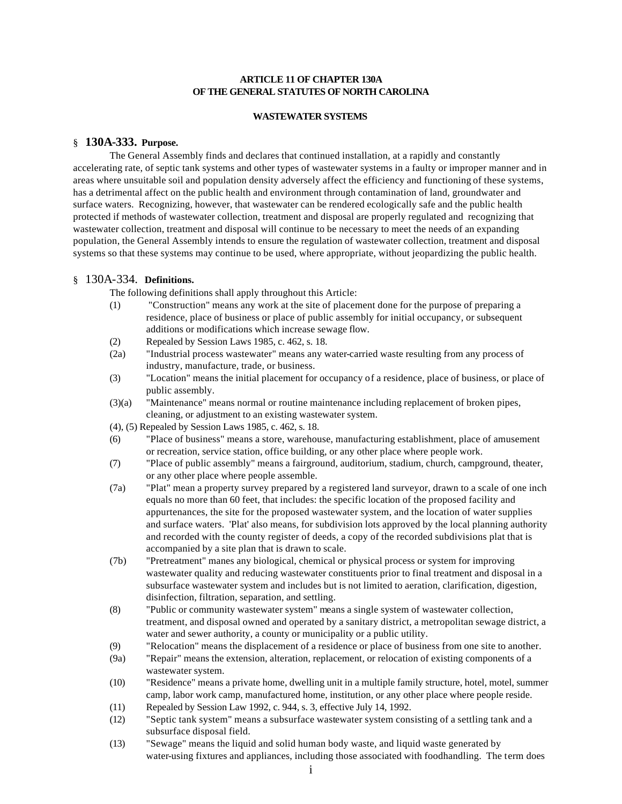# **ARTICLE 11 OF CHAPTER 130A OF THE GENERAL STATUTES OF NORTH CAROLINA**

### **WASTEWATER SYSTEMS**

# § **130A-333. Purpose.**

The General Assembly finds and declares that continued installation, at a rapidly and constantly accelerating rate, of septic tank systems and other types of wastewater systems in a faulty or improper manner and in areas where unsuitable soil and population density adversely affect the efficiency and functioning of these systems, has a detrimental affect on the public health and environment through contamination of land, groundwater and surface waters. Recognizing, however, that wastewater can be rendered ecologically safe and the public health protected if methods of wastewater collection, treatment and disposal are properly regulated and recognizing that wastewater collection, treatment and disposal will continue to be necessary to meet the needs of an expanding population, the General Assembly intends to ensure the regulation of wastewater collection, treatment and disposal systems so that these systems may continue to be used, where appropriate, without jeopardizing the public health.

# § 130A-334. **Definitions.**

The following definitions shall apply throughout this Article:

- (1) "Construction" means any work at the site of placement done for the purpose of preparing a residence, place of business or place of public assembly for initial occupancy, or subsequent additions or modifications which increase sewage flow.
- (2) Repealed by Session Laws 1985, c. 462, s. 18.
- (2a) "Industrial process wastewater" means any water-carried waste resulting from any process of industry, manufacture, trade, or business.
- (3) "Location" means the initial placement for occupancy of a residence, place of business, or place of public assembly.
- (3)(a) "Maintenance" means normal or routine maintenance including replacement of broken pipes, cleaning, or adjustment to an existing wastewater system.
- (4), (5) Repealed by Session Laws 1985, c. 462, s. 18.
- (6) "Place of business" means a store, warehouse, manufacturing establishment, place of amusement or recreation, service station, office building, or any other place where people work.
- (7) "Place of public assembly" means a fairground, auditorium, stadium, church, campground, theater, or any other place where people assemble.
- (7a) "Plat" mean a property survey prepared by a registered land surveyor, drawn to a scale of one inch equals no more than 60 feet, that includes: the specific location of the proposed facility and appurtenances, the site for the proposed wastewater system, and the location of water supplies and surface waters. 'Plat' also means, for subdivision lots approved by the local planning authority and recorded with the county register of deeds, a copy of the recorded subdivisions plat that is accompanied by a site plan that is drawn to scale.
- (7b) "Pretreatment" manes any biological, chemical or physical process or system for improving wastewater quality and reducing wastewater constituents prior to final treatment and disposal in a subsurface wastewater system and includes but is not limited to aeration, clarification, digestion, disinfection, filtration, separation, and settling.
- (8) "Public or community wastewater system" means a single system of wastewater collection, treatment, and disposal owned and operated by a sanitary district, a metropolitan sewage district, a water and sewer authority, a county or municipality or a public utility.
- (9) "Relocation" means the displacement of a residence or place of business from one site to another.
- (9a) "Repair" means the extension, alteration, replacement, or relocation of existing components of a wastewater system.
- (10) "Residence" means a private home, dwelling unit in a multiple family structure, hotel, motel, summer camp, labor work camp, manufactured home, institution, or any other place where people reside.
- (11) Repealed by Session Law 1992, c. 944, s. 3, effective July 14, 1992.
- (12) "Septic tank system" means a subsurface wastewater system consisting of a settling tank and a subsurface disposal field.
- (13) "Sewage" means the liquid and solid human body waste, and liquid waste generated by water-using fixtures and appliances, including those associated with foodhandling. The term does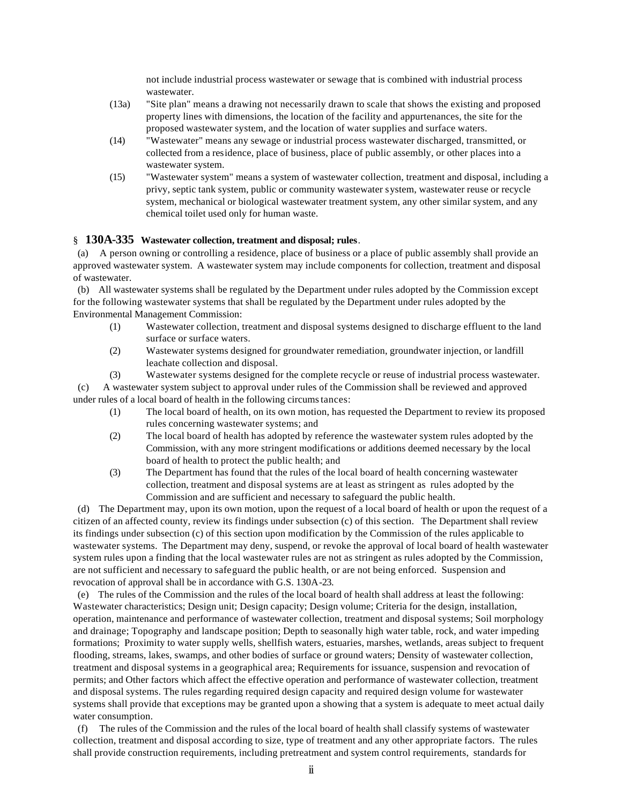not include industrial process wastewater or sewage that is combined with industrial process wastewater.

- (13a) "Site plan" means a drawing not necessarily drawn to scale that shows the existing and proposed property lines with dimensions, the location of the facility and appurtenances, the site for the proposed wastewater system, and the location of water supplies and surface waters.
- (14) "Wastewater" means any sewage or industrial process wastewater discharged, transmitted, or collected from a residence, place of business, place of public assembly, or other places into a wastewater system.
- (15) "Wastewater system" means a system of wastewater collection, treatment and disposal, including a privy, septic tank system, public or community wastewater system, wastewater reuse or recycle system, mechanical or biological wastewater treatment system, any other similar system, and any chemical toilet used only for human waste.

## § **130A-335 Wastewater collection, treatment and disposal; rules**.

 (a) A person owning or controlling a residence, place of business or a place of public assembly shall provide an approved wastewater system. A wastewater system may include components for collection, treatment and disposal of wastewater.

 (b) All wastewater systems shall be regulated by the Department under rules adopted by the Commission except for the following wastewater systems that shall be regulated by the Department under rules adopted by the Environmental Management Commission:

- (1) Wastewater collection, treatment and disposal systems designed to discharge effluent to the land surface or surface waters.
- (2) Wastewater systems designed for groundwater remediation, groundwater injection, or landfill leachate collection and disposal.
- (3) Wastewater systems designed for the complete recycle or reuse of industrial process wastewater.

 (c) A wastewater system subject to approval under rules of the Commission shall be reviewed and approved under rules of a local board of health in the following circumstances:

- (1) The local board of health, on its own motion, has requested the Department to review its proposed rules concerning wastewater systems; and
- (2) The local board of health has adopted by reference the wastewater system rules adopted by the Commission, with any more stringent modifications or additions deemed necessary by the local board of health to protect the public health; and
- (3) The Department has found that the rules of the local board of health concerning wastewater collection, treatment and disposal systems are at least as stringent as rules adopted by the Commission and are sufficient and necessary to safeguard the public health.

 (d) The Department may, upon its own motion, upon the request of a local board of health or upon the request of a citizen of an affected county, review its findings under subsection (c) of this section. The Department shall review its findings under subsection (c) of this section upon modification by the Commission of the rules applicable to wastewater systems. The Department may deny, suspend, or revoke the approval of local board of health wastewater system rules upon a finding that the local wastewater rules are not as stringent as rules adopted by the Commission, are not sufficient and necessary to safeguard the public health, or are not being enforced. Suspension and revocation of approval shall be in accordance with G.S. 130A-23.

 (e) The rules of the Commission and the rules of the local board of health shall address at least the following: Wastewater characteristics; Design unit; Design capacity; Design volume; Criteria for the design, installation, operation, maintenance and performance of wastewater collection, treatment and disposal systems; Soil morphology and drainage; Topography and landscape position; Depth to seasonally high water table, rock, and water impeding formations; Proximity to water supply wells, shellfish waters, estuaries, marshes, wetlands, areas subject to frequent flooding, streams, lakes, swamps, and other bodies of surface or ground waters; Density of wastewater collection, treatment and disposal systems in a geographical area; Requirements for issuance, suspension and revocation of permits; and Other factors which affect the effective operation and performance of wastewater collection, treatment and disposal systems. The rules regarding required design capacity and required design volume for wastewater systems shall provide that exceptions may be granted upon a showing that a system is adequate to meet actual daily water consumption.

 (f) The rules of the Commission and the rules of the local board of health shall classify systems of wastewater collection, treatment and disposal according to size, type of treatment and any other appropriate factors. The rules shall provide construction requirements, including pretreatment and system control requirements, standards for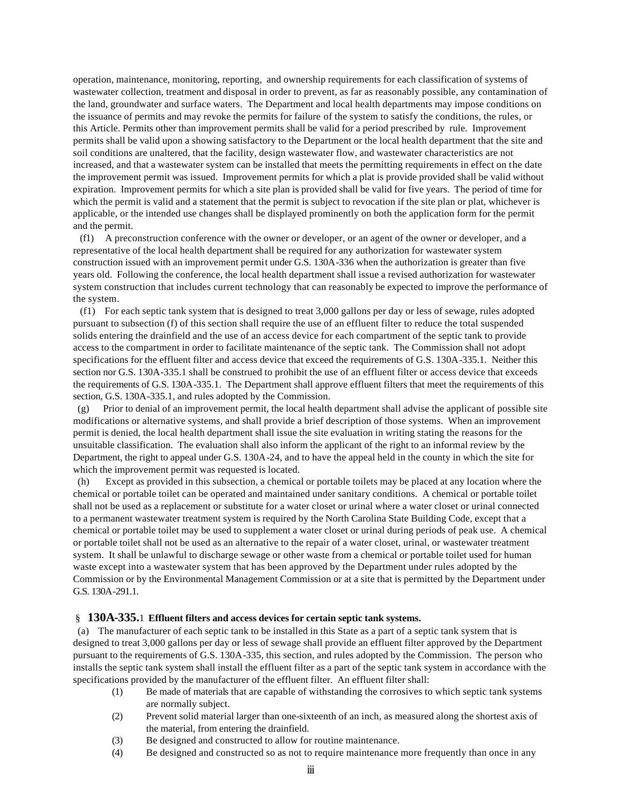operation, maintenance, monitoring, reporting, and ownership requirements for each classification of systems of wastewater collection, treatment and disposal in order to prevent, as far as reasonably possible, any contamination of the land, groundwater and surface waters. The Department and local health departments may impose conditions on the issuance of permits and may revoke the permits for failure of the system to satisfy the conditions, the rules, or this Article. Permits other than improvement permits shall be valid for a period prescribed by rule. Improvement permits shall be valid upon a showing satisfactory to the Department or the local health department that the site and soil conditions are unaltered, that the facility, design wastewater flow, and wastewater characteristics are not increased, and that a wastewater system can be installed that meets the permitting requirements in effect on the date the improvement permit was issued. Improvement permits for which a plat is provide provided shall be valid without expiration. Improvement permits for which a site plan is provided shall be valid for five years. The period of time for which the permit is valid and a statement that the permit is subject to revocation if the site plan or plat, whichever is applicable, or the intended use changes shall be displayed prominently on both the application form for the permit and the permit.

 (f1) A preconstruction conference with the owner or developer, or an agent of the owner or developer, and a representative of the local health department shall be required for any authorization for wastewater system construction issued with an improvement permit under G.S. 130A-336 when the authorization is greater than five years old. Following the conference, the local health department shall issue a revised authorization for wastewater system construction that includes current technology that can reasonably be expected to improve the performance of the system.

 (f1) For each septic tank system that is designed to treat 3,000 gallons per day or less of sewage, rules adopted pursuant to subsection (f) of this section shall require the use of an effluent filter to reduce the total suspended solids entering the drainfield and the use of an access device for each compartment of the septic tank to provide access to the compartment in order to facilitate maintenance of the septic tank. The Commission shall not adopt specifications for the effluent filter and access device that exceed the requirements of G.S. 130A-335.1. Neither this section nor G.S. 130A-335.1 shall be construed to prohibit the use of an effluent filter or access device that exceeds the requirements of G.S. 130A-335.1. The Department shall approve effluent filters that meet the requirements of this section, G.S. 130A-335.1, and rules adopted by the Commission.

 (g) Prior to denial of an improvement permit, the local health department shall advise the applicant of possible site modifications or alternative systems, and shall provide a brief description of those systems. When an improvement permit is denied, the local health department shall issue the site evaluation in writing stating the reasons for the unsuitable classification. The evaluation shall also inform the applicant of the right to an informal review by the Department, the right to appeal under G.S. 130A-24, and to have the appeal held in the county in which the site for which the improvement permit was requested is located.

 (h) Except as provided in this subsection, a chemical or portable toilets may be placed at any location where the chemical or portable toilet can be operated and maintained under sanitary conditions. A chemical or portable toilet shall not be used as a replacement or substitute for a water closet or urinal where a water closet or urinal connected to a permanent wastewater treatment system is required by the North Carolina State Building Code, except that a chemical or portable toilet may be used to supplement a water closet or urinal during periods of peak use. A chemical or portable toilet shall not be used as an alternative to the repair of a water closet, urinal, or wastewater treatment system. It shall be unlawful to discharge sewage or other waste from a chemical or portable toilet used for human waste except into a wastewater system that has been approved by the Department under rules adopted by the Commission or by the Environmental Management Commission or at a site that is permitted by the Department under G.S. 130A-291.1.

# § **130A-335.**1 **Effluent filters and access devices for certain septic tank systems.**

 (a) The manufacturer of each septic tank to be installed in this State as a part of a septic tank system that is designed to treat 3,000 gallons per day or less of sewage shall provide an effluent filter approved by the Department pursuant to the requirements of G.S. 130A-335, this section, and rules adopted by the Commission. The person who installs the septic tank system shall install the effluent filter as a part of the septic tank system in accordance with the specifications provided by the manufacturer of the effluent filter. An effluent filter shall:

- (1) Be made of materials that are capable of withstanding the corrosives to which septic tank systems are normally subject.
- (2) Prevent solid material larger than one-sixteenth of an inch, as measured along the shortest axis of the material, from entering the drainfield.
- (3) Be designed and constructed to allow for routine maintenance.
- (4) Be designed and constructed so as not to require maintenance more frequently than once in any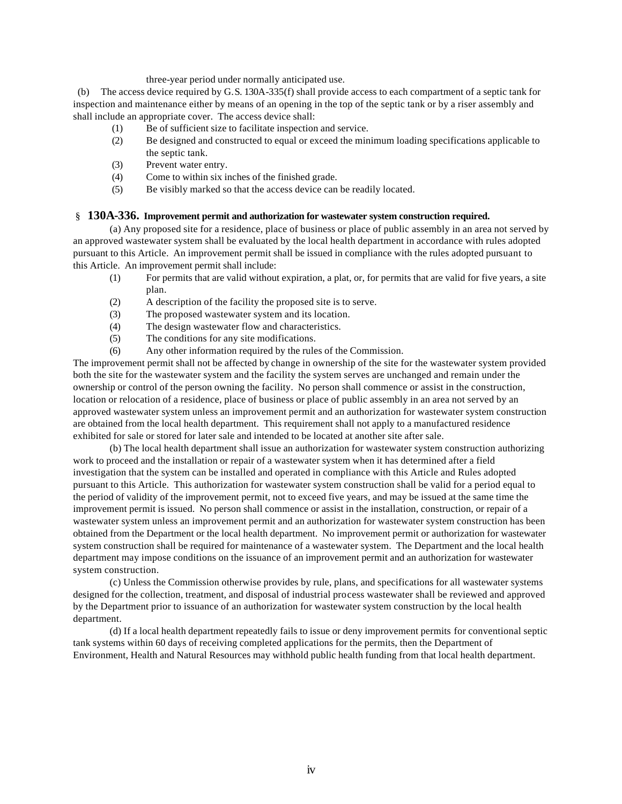three-year period under normally anticipated use.

 (b) The access device required by G.S. 130A-335(f) shall provide access to each compartment of a septic tank for inspection and maintenance either by means of an opening in the top of the septic tank or by a riser assembly and shall include an appropriate cover. The access device shall:

- (1) Be of sufficient size to facilitate inspection and service.
- (2) Be designed and constructed to equal or exceed the minimum loading specifications applicable to the septic tank.
- (3) Prevent water entry.
- (4) Come to within six inches of the finished grade.
- (5) Be visibly marked so that the access device can be readily located.

# § **130A-336. Improvement permit and authorization for wastewater system construction required.**

(a) Any proposed site for a residence, place of business or place of public assembly in an area not served by an approved wastewater system shall be evaluated by the local health department in accordance with rules adopted pursuant to this Article. An improvement permit shall be issued in compliance with the rules adopted pursuant to this Article. An improvement permit shall include:

- (1) For permits that are valid without expiration, a plat, or, for permits that are valid for five years, a site plan.
- (2) A description of the facility the proposed site is to serve.
- (3) The proposed wastewater system and its location.
- (4) The design wastewater flow and characteristics.
- (5) The conditions for any site modifications.
- (6) Any other information required by the rules of the Commission.

The improvement permit shall not be affected by change in ownership of the site for the wastewater system provided both the site for the wastewater system and the facility the system serves are unchanged and remain under the ownership or control of the person owning the facility. No person shall commence or assist in the construction, location or relocation of a residence, place of business or place of public assembly in an area not served by an approved wastewater system unless an improvement permit and an authorization for wastewater system construction are obtained from the local health department. This requirement shall not apply to a manufactured residence exhibited for sale or stored for later sale and intended to be located at another site after sale.

(b) The local health department shall issue an authorization for wastewater system construction authorizing work to proceed and the installation or repair of a wastewater system when it has determined after a field investigation that the system can be installed and operated in compliance with this Article and Rules adopted pursuant to this Article. This authorization for wastewater system construction shall be valid for a period equal to the period of validity of the improvement permit, not to exceed five years, and may be issued at the same time the improvement permit is issued. No person shall commence or assist in the installation, construction, or repair of a wastewater system unless an improvement permit and an authorization for wastewater system construction has been obtained from the Department or the local health department. No improvement permit or authorization for wastewater system construction shall be required for maintenance of a wastewater system. The Department and the local health department may impose conditions on the issuance of an improvement permit and an authorization for wastewater system construction.

(c) Unless the Commission otherwise provides by rule, plans, and specifications for all wastewater systems designed for the collection, treatment, and disposal of industrial process wastewater shall be reviewed and approved by the Department prior to issuance of an authorization for wastewater system construction by the local health department.

(d) If a local health department repeatedly fails to issue or deny improvement permits for conventional septic tank systems within 60 days of receiving completed applications for the permits, then the Department of Environment, Health and Natural Resources may withhold public health funding from that local health department.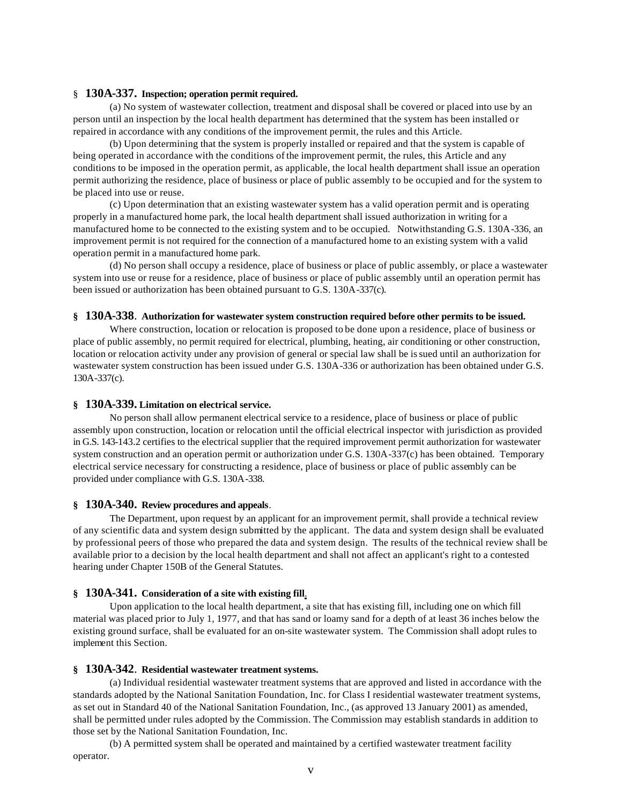#### § **130A-337. Inspection; operation permit required.**

(a) No system of wastewater collection, treatment and disposal shall be covered or placed into use by an person until an inspection by the local health department has determined that the system has been installed or repaired in accordance with any conditions of the improvement permit, the rules and this Article.

(b) Upon determining that the system is properly installed or repaired and that the system is capable of being operated in accordance with the conditions of the improvement permit, the rules, this Article and any conditions to be imposed in the operation permit, as applicable, the local health department shall issue an operation permit authorizing the residence, place of business or place of public assembly to be occupied and for the system to be placed into use or reuse.

(c) Upon determination that an existing wastewater system has a valid operation permit and is operating properly in a manufactured home park, the local health department shall issued authorization in writing for a manufactured home to be connected to the existing system and to be occupied. Notwithstanding G.S. 130A-336, an improvement permit is not required for the connection of a manufactured home to an existing system with a valid operation permit in a manufactured home park.

(d) No person shall occupy a residence, place of business or place of public assembly, or place a wastewater system into use or reuse for a residence, place of business or place of public assembly until an operation permit has been issued or authorization has been obtained pursuant to G.S. 130A-337(c).

#### **§ 130A-338**. **Authorization for wastewater system construction required before other permits to be issued.**

Where construction, location or relocation is proposed to be done upon a residence, place of business or place of public assembly, no permit required for electrical, plumbing, heating, air conditioning or other construction, location or relocation activity under any provision of general or special law shall be issued until an authorization for wastewater system construction has been issued under G.S. 130A-336 or authorization has been obtained under G.S. 130A-337(c).

### **§ 130A-339. Limitation on electrical service.**

No person shall allow permanent electrical service to a residence, place of business or place of public assembly upon construction, location or relocation until the official electrical inspector with jurisdiction as provided in G.S. 143-143.2 certifies to the electrical supplier that the required improvement permit authorization for wastewater system construction and an operation permit or authorization under G.S. 130A-337(c) has been obtained. Temporary electrical service necessary for constructing a residence, place of business or place of public assembly can be provided under compliance with G.S. 130A-338.

#### **§ 130A-340. Review procedures and appeals**.

The Department, upon request by an applicant for an improvement permit, shall provide a technical review of any scientific data and system design submitted by the applicant. The data and system design shall be evaluated by professional peers of those who prepared the data and system design. The results of the technical review shall be available prior to a decision by the local health department and shall not affect an applicant's right to a contested hearing under Chapter 150B of the General Statutes.

### **§ 130A-341. Consideration of a site with existing fill**.

Upon application to the local health department, a site that has existing fill, including one on which fill material was placed prior to July 1, 1977, and that has sand or loamy sand for a depth of at least 36 inches below the existing ground surface, shall be evaluated for an on-site wastewater system. The Commission shall adopt rules to implement this Section.

#### **§ 130A-342**. **Residential wastewater treatment systems.**

(a) Individual residential wastewater treatment systems that are approved and listed in accordance with the standards adopted by the National Sanitation Foundation, Inc. for Class I residential wastewater treatment systems, as set out in Standard 40 of the National Sanitation Foundation, Inc., (as approved 13 January 2001) as amended, shall be permitted under rules adopted by the Commission. The Commission may establish standards in addition to those set by the National Sanitation Foundation, Inc.

(b) A permitted system shall be operated and maintained by a certified wastewater treatment facility operator.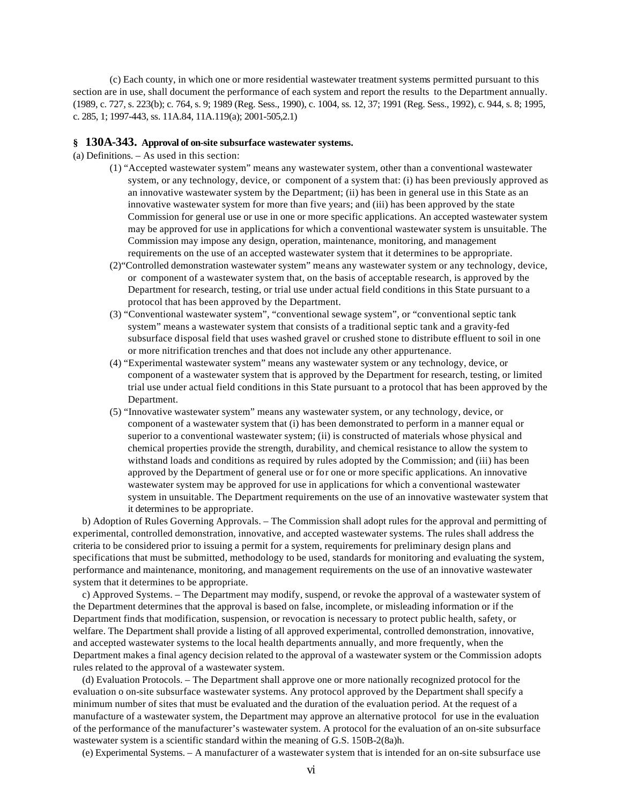(c) Each county, in which one or more residential wastewater treatment systems permitted pursuant to this section are in use, shall document the performance of each system and report the results to the Department annually. (1989, c. 727, s. 223(b); c. 764, s. 9; 1989 (Reg. Sess., 1990), c. 1004, ss. 12, 37; 1991 (Reg. Sess., 1992), c. 944, s. 8; 1995, c. 285, 1; 1997-443, ss. 11A.84, 11A.119(a); 2001-505,2.1)

#### **§ 130A-343. Approval of on-site subsurface wastewater systems.**

- (a) Definitions. As used in this section:
	- (1) "Accepted wastewater system" means any wastewater system, other than a conventional wastewater system, or any technology, device, or component of a system that: (i) has been previously approved as an innovative wastewater system by the Department; (ii) has been in general use in this State as an innovative wastewater system for more than five years; and (iii) has been approved by the state Commission for general use or use in one or more specific applications. An accepted wastewater system may be approved for use in applications for which a conventional wastewater system is unsuitable. The Commission may impose any design, operation, maintenance, monitoring, and management requirements on the use of an accepted wastewater system that it determines to be appropriate.
	- (2)"Controlled demonstration wastewater system" means any wastewater system or any technology, device, or component of a wastewater system that, on the basis of acceptable research, is approved by the Department for research, testing, or trial use under actual field conditions in this State pursuant to a protocol that has been approved by the Department.
	- (3) "Conventional wastewater system", "conventional sewage system", or "conventional septic tank system" means a wastewater system that consists of a traditional septic tank and a gravity-fed subsurface disposal field that uses washed gravel or crushed stone to distribute effluent to soil in one or more nitrification trenches and that does not include any other appurtenance.
	- (4) "Experimental wastewater system" means any wastewater system or any technology, device, or component of a wastewater system that is approved by the Department for research, testing, or limited trial use under actual field conditions in this State pursuant to a protocol that has been approved by the Department.
	- (5) "Innovative wastewater system" means any wastewater system, or any technology, device, or component of a wastewater system that (i) has been demonstrated to perform in a manner equal or superior to a conventional wastewater system; (ii) is constructed of materials whose physical and chemical properties provide the strength, durability, and chemical resistance to allow the system to withstand loads and conditions as required by rules adopted by the Commission; and (iii) has been approved by the Department of general use or for one or more specific applications. An innovative wastewater system may be approved for use in applications for which a conventional wastewater system in unsuitable. The Department requirements on the use of an innovative wastewater system that it determines to be appropriate.

b) Adoption of Rules Governing Approvals. – The Commission shall adopt rules for the approval and permitting of experimental, controlled demonstration, innovative, and accepted wastewater systems. The rules shall address the criteria to be considered prior to issuing a permit for a system, requirements for preliminary design plans and specifications that must be submitted, methodology to be used, standards for monitoring and evaluating the system, performance and maintenance, monitoring, and management requirements on the use of an innovative wastewater system that it determines to be appropriate.

c) Approved Systems. – The Department may modify, suspend, or revoke the approval of a wastewater system of the Department determines that the approval is based on false, incomplete, or misleading information or if the Department finds that modification, suspension, or revocation is necessary to protect public health, safety, or welfare. The Department shall provide a listing of all approved experimental, controlled demonstration, innovative, and accepted wastewater systems to the local health departments annually, and more frequently, when the Department makes a final agency decision related to the approval of a wastewater system or the Commission adopts rules related to the approval of a wastewater system.

(d) Evaluation Protocols. – The Department shall approve one or more nationally recognized protocol for the evaluation o on-site subsurface wastewater systems. Any protocol approved by the Department shall specify a minimum number of sites that must be evaluated and the duration of the evaluation period. At the request of a manufacture of a wastewater system, the Department may approve an alternative protocol for use in the evaluation of the performance of the manufacturer's wastewater system. A protocol for the evaluation of an on-site subsurface wastewater system is a scientific standard within the meaning of G.S. 150B-2(8a)h.

(e) Experimental Systems. – A manufacturer of a wastewater system that is intended for an on-site subsurface use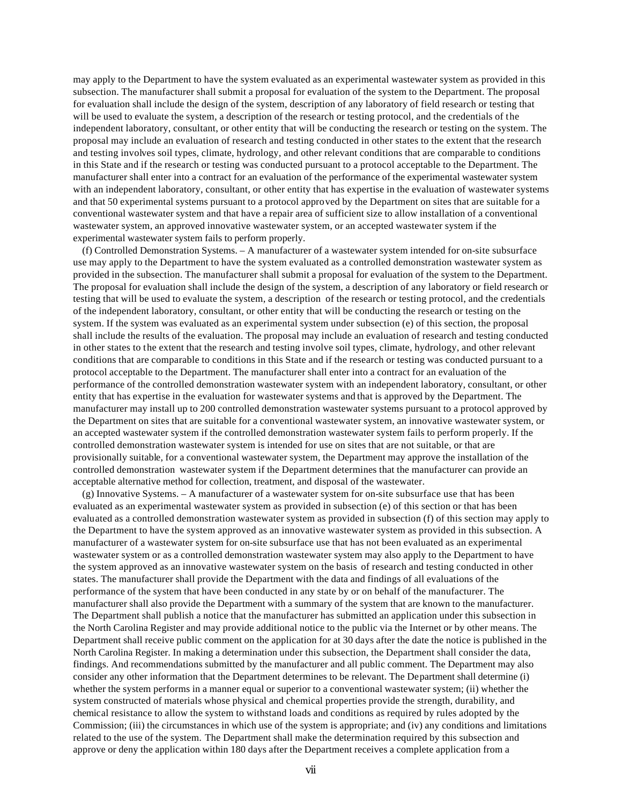may apply to the Department to have the system evaluated as an experimental wastewater system as provided in this subsection. The manufacturer shall submit a proposal for evaluation of the system to the Department. The proposal for evaluation shall include the design of the system, description of any laboratory of field research or testing that will be used to evaluate the system, a description of the research or testing protocol, and the credentials of the independent laboratory, consultant, or other entity that will be conducting the research or testing on the system. The proposal may include an evaluation of research and testing conducted in other states to the extent that the research and testing involves soil types, climate, hydrology, and other relevant conditions that are comparable to conditions in this State and if the research or testing was conducted pursuant to a protocol acceptable to the Department. The manufacturer shall enter into a contract for an evaluation of the performance of the experimental wastewater system with an independent laboratory, consultant, or other entity that has expertise in the evaluation of wastewater systems and that 50 experimental systems pursuant to a protocol approved by the Department on sites that are suitable for a conventional wastewater system and that have a repair area of sufficient size to allow installation of a conventional wastewater system, an approved innovative wastewater system, or an accepted wastewater system if the experimental wastewater system fails to perform properly.

(f) Controlled Demonstration Systems. – A manufacturer of a wastewater system intended for on-site subsurface use may apply to the Department to have the system evaluated as a controlled demonstration wastewater system as provided in the subsection. The manufacturer shall submit a proposal for evaluation of the system to the Department. The proposal for evaluation shall include the design of the system, a description of any laboratory or field research or testing that will be used to evaluate the system, a description of the research or testing protocol, and the credentials of the independent laboratory, consultant, or other entity that will be conducting the research or testing on the system. If the system was evaluated as an experimental system under subsection (e) of this section, the proposal shall include the results of the evaluation. The proposal may include an evaluation of research and testing conducted in other states to the extent that the research and testing involve soil types, climate, hydrology, and other relevant conditions that are comparable to conditions in this State and if the research or testing was conducted pursuant to a protocol acceptable to the Department. The manufacturer shall enter into a contract for an evaluation of the performance of the controlled demonstration wastewater system with an independent laboratory, consultant, or other entity that has expertise in the evaluation for wastewater systems and that is approved by the Department. The manufacturer may install up to 200 controlled demonstration wastewater systems pursuant to a protocol approved by the Department on sites that are suitable for a conventional wastewater system, an innovative wastewater system, or an accepted wastewater system if the controlled demonstration wastewater system fails to perform properly. If the controlled demonstration wastewater system is intended for use on sites that are not suitable, or that are provisionally suitable, for a conventional wastewater system, the Department may approve the installation of the controlled demonstration wastewater system if the Department determines that the manufacturer can provide an acceptable alternative method for collection, treatment, and disposal of the wastewater.

(g) Innovative Systems. – A manufacturer of a wastewater system for on-site subsurface use that has been evaluated as an experimental wastewater system as provided in subsection (e) of this section or that has been evaluated as a controlled demonstration wastewater system as provided in subsection (f) of this section may apply to the Department to have the system approved as an innovative wastewater system as provided in this subsection. A manufacturer of a wastewater system for on-site subsurface use that has not been evaluated as an experimental wastewater system or as a controlled demonstration wastewater system may also apply to the Department to have the system approved as an innovative wastewater system on the basis of research and testing conducted in other states. The manufacturer shall provide the Department with the data and findings of all evaluations of the performance of the system that have been conducted in any state by or on behalf of the manufacturer. The manufacturer shall also provide the Department with a summary of the system that are known to the manufacturer. The Department shall publish a notice that the manufacturer has submitted an application under this subsection in the North Carolina Register and may provide additional notice to the public via the Internet or by other means. The Department shall receive public comment on the application for at 30 days after the date the notice is published in the North Carolina Register. In making a determination under this subsection, the Department shall consider the data, findings. And recommendations submitted by the manufacturer and all public comment. The Department may also consider any other information that the Department determines to be relevant. The Department shall determine (i) whether the system performs in a manner equal or superior to a conventional wastewater system; (ii) whether the system constructed of materials whose physical and chemical properties provide the strength, durability, and chemical resistance to allow the system to withstand loads and conditions as required by rules adopted by the Commission; (iii) the circumstances in which use of the system is appropriate; and (iv) any conditions and limitations related to the use of the system. The Department shall make the determination required by this subsection and approve or deny the application within 180 days after the Department receives a complete application from a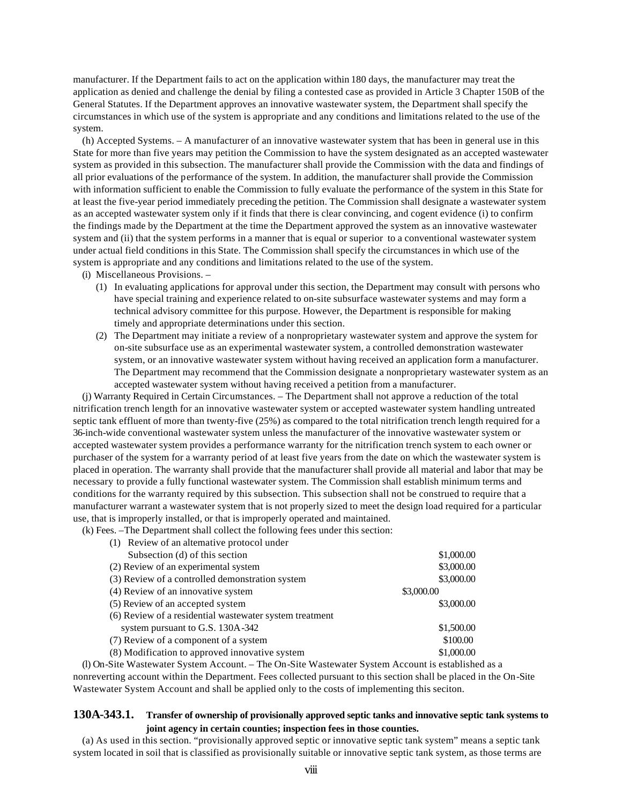manufacturer. If the Department fails to act on the application within 180 days, the manufacturer may treat the application as denied and challenge the denial by filing a contested case as provided in Article 3 Chapter 150B of the General Statutes. If the Department approves an innovative wastewater system, the Department shall specify the circumstances in which use of the system is appropriate and any conditions and limitations related to the use of the system.

(h) Accepted Systems. – A manufacturer of an innovative wastewater system that has been in general use in this State for more than five years may petition the Commission to have the system designated as an accepted wastewater system as provided in this subsection. The manufacturer shall provide the Commission with the data and findings of all prior evaluations of the performance of the system. In addition, the manufacturer shall provide the Commission with information sufficient to enable the Commission to fully evaluate the performance of the system in this State for at least the five-year period immediately preceding the petition. The Commission shall designate a wastewater system as an accepted wastewater system only if it finds that there is clear convincing, and cogent evidence (i) to confirm the findings made by the Department at the time the Department approved the system as an innovative wastewater system and (ii) that the system performs in a manner that is equal or superior to a conventional wastewater system under actual field conditions in this State. The Commission shall specify the circumstances in which use of the system is appropriate and any conditions and limitations related to the use of the system.

- (i) Miscellaneous Provisions.
	- (1) In evaluating applications for approval under this section, the Department may consult with persons who have special training and experience related to on-site subsurface wastewater systems and may form a technical advisory committee for this purpose. However, the Department is responsible for making timely and appropriate determinations under this section.
	- (2) The Department may initiate a review of a nonproprietary wastewater system and approve the system for on-site subsurface use as an experimental wastewater system, a controlled demonstration wastewater system, or an innovative wastewater system without having received an application form a manufacturer. The Department may recommend that the Commission designate a nonproprietary wastewater system as an accepted wastewater system without having received a petition from a manufacturer.

(j) Warranty Required in Certain Circumstances. – The Department shall not approve a reduction of the total nitrification trench length for an innovative wastewater system or accepted wastewater system handling untreated septic tank effluent of more than twenty-five (25%) as compared to the total nitrification trench length required for a 36-inch-wide conventional wastewater system unless the manufacturer of the innovative wastewater system or accepted wastewater system provides a performance warranty for the nitrification trench system to each owner or purchaser of the system for a warranty period of at least five years from the date on which the wastewater system is placed in operation. The warranty shall provide that the manufacturer shall provide all material and labor that may be necessary to provide a fully functional wastewater system. The Commission shall establish minimum terms and conditions for the warranty required by this subsection. This subsection shall not be construed to require that a manufacturer warrant a wastewater system that is not properly sized to meet the design load required for a particular use, that is improperly installed, or that is improperly operated and maintained.

(k) Fees. –The Department shall collect the following fees under this section:

(1) Review of an alternative protocol under

| Subsection (d) of this section                          | \$1,000.00 |
|---------------------------------------------------------|------------|
| (2) Review of an experimental system                    | \$3,000.00 |
| (3) Review of a controlled demonstration system         | \$3,000.00 |
| (4) Review of an innovative system                      | \$3,000.00 |
| (5) Review of an accepted system                        | \$3,000.00 |
| (6) Review of a residential wastewater system treatment |            |
| system pursuant to G.S. 130A-342                        | \$1,500.00 |
| (7) Review of a component of a system                   | \$100.00   |
| (8) Modification to approved innovative system          | \$1,000.00 |
|                                                         |            |

(l) On-Site Wastewater System Account. – The On-Site Wastewater System Account is established as a nonreverting account within the Department. Fees collected pursuant to this section shall be placed in the On-Site Wastewater System Account and shall be applied only to the costs of implementing this seciton.

# **130A-343.1. Transfer of ownership of provisionally approved septic tanks and innovative septic tank systems to joint agency in certain counties; inspection fees in those counties.**

(a) As used in this section. "provisionally approved septic or innovative septic tank system" means a septic tank system located in soil that is classified as provisionally suitable or innovative septic tank system, as those terms are